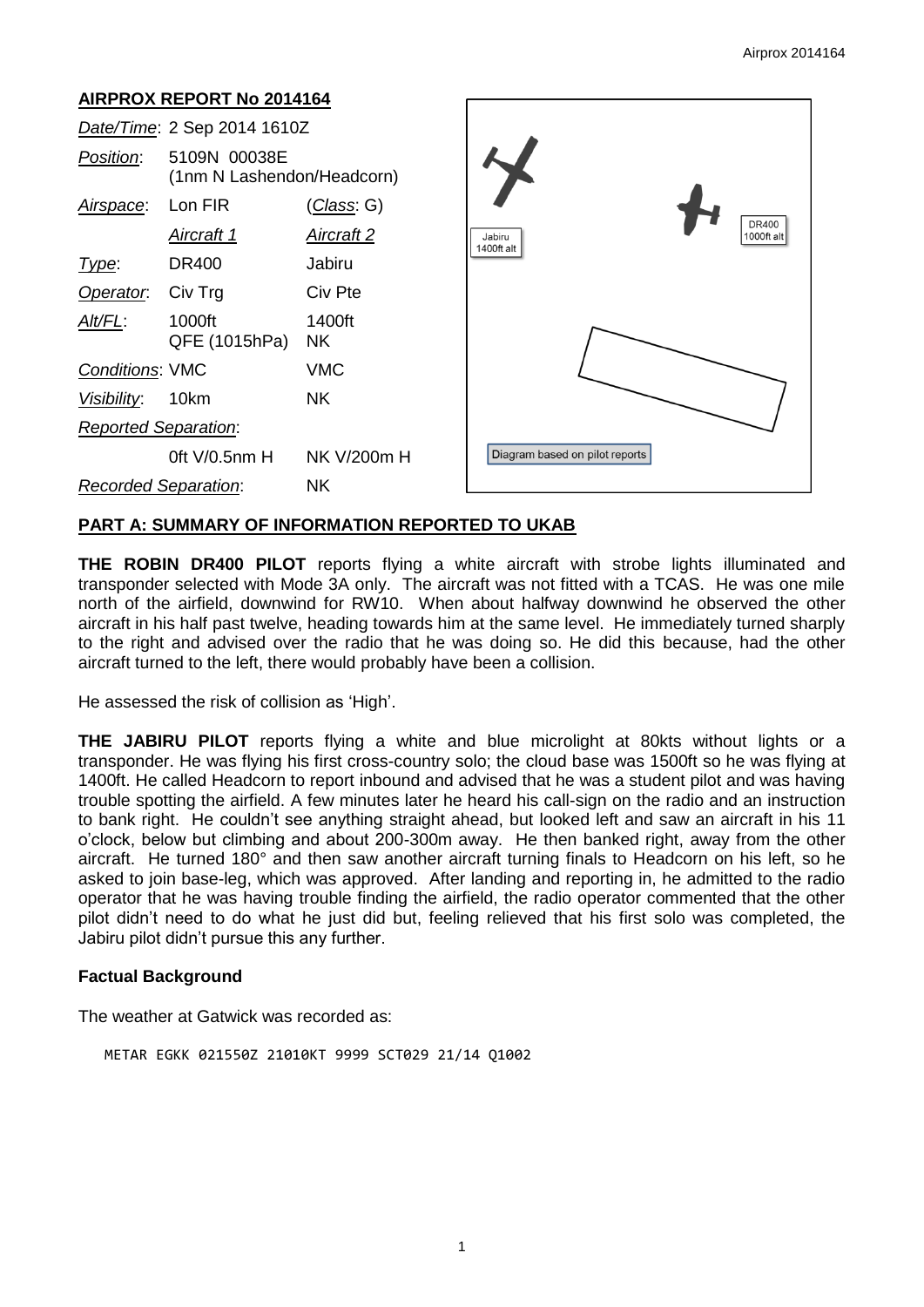### **AIRPROX REPORT No 2014164**

| Date/Time: 2 Sep 2014 1610Z |                                            |                     |                                                    |
|-----------------------------|--------------------------------------------|---------------------|----------------------------------------------------|
| Position:                   | 5109N 00038E<br>(1nm N Lashendon/Headcorn) |                     |                                                    |
| Airspace:                   | Lon FIR                                    | (Class: G)          |                                                    |
|                             | <b>Aircraft 1</b>                          | <b>Aircraft 2</b>   | <b>DR400</b><br>1000ft alt<br>Jabiru<br>1400ft alt |
| Type:                       | <b>DR400</b>                               | Jabiru              |                                                    |
| Operator.                   | Civ Trg                                    | Civ Pte             |                                                    |
| Alt/FL:                     | 1000ft<br>QFE (1015hPa)                    | 1400ft<br><b>NK</b> |                                                    |
| <b>Conditions: VMC</b>      |                                            | <b>VMC</b>          |                                                    |
| Visibility:                 | 10km                                       | <b>NK</b>           |                                                    |
| <b>Reported Separation:</b> |                                            |                     |                                                    |
|                             | Oft V/0.5nm H                              | NK V/200m H         | Diagram based on pilot reports                     |
| <b>Recorded Separation:</b> |                                            | <b>NK</b>           |                                                    |

#### **PART A: SUMMARY OF INFORMATION REPORTED TO UKAB**

**THE ROBIN DR400 PILOT** reports flying a white aircraft with strobe lights illuminated and transponder selected with Mode 3A only. The aircraft was not fitted with a TCAS. He was one mile north of the airfield, downwind for RW10. When about halfway downwind he observed the other aircraft in his half past twelve, heading towards him at the same level. He immediately turned sharply to the right and advised over the radio that he was doing so. He did this because, had the other aircraft turned to the left, there would probably have been a collision.

He assessed the risk of collision as 'High'.

**THE JABIRU PILOT** reports flying a white and blue microlight at 80kts without lights or a transponder. He was flying his first cross-country solo; the cloud base was 1500ft so he was flying at 1400ft. He called Headcorn to report inbound and advised that he was a student pilot and was having trouble spotting the airfield. A few minutes later he heard his call-sign on the radio and an instruction to bank right. He couldn't see anything straight ahead, but looked left and saw an aircraft in his 11 o'clock, below but climbing and about 200-300m away. He then banked right, away from the other aircraft. He turned 180° and then saw another aircraft turning finals to Headcorn on his left, so he asked to join base-leg, which was approved. After landing and reporting in, he admitted to the radio operator that he was having trouble finding the airfield, the radio operator commented that the other pilot didn't need to do what he just did but, feeling relieved that his first solo was completed, the Jabiru pilot didn't pursue this any further.

#### **Factual Background**

The weather at Gatwick was recorded as:

METAR EGKK 021550Z 21010KT 9999 SCT029 21/14 Q1002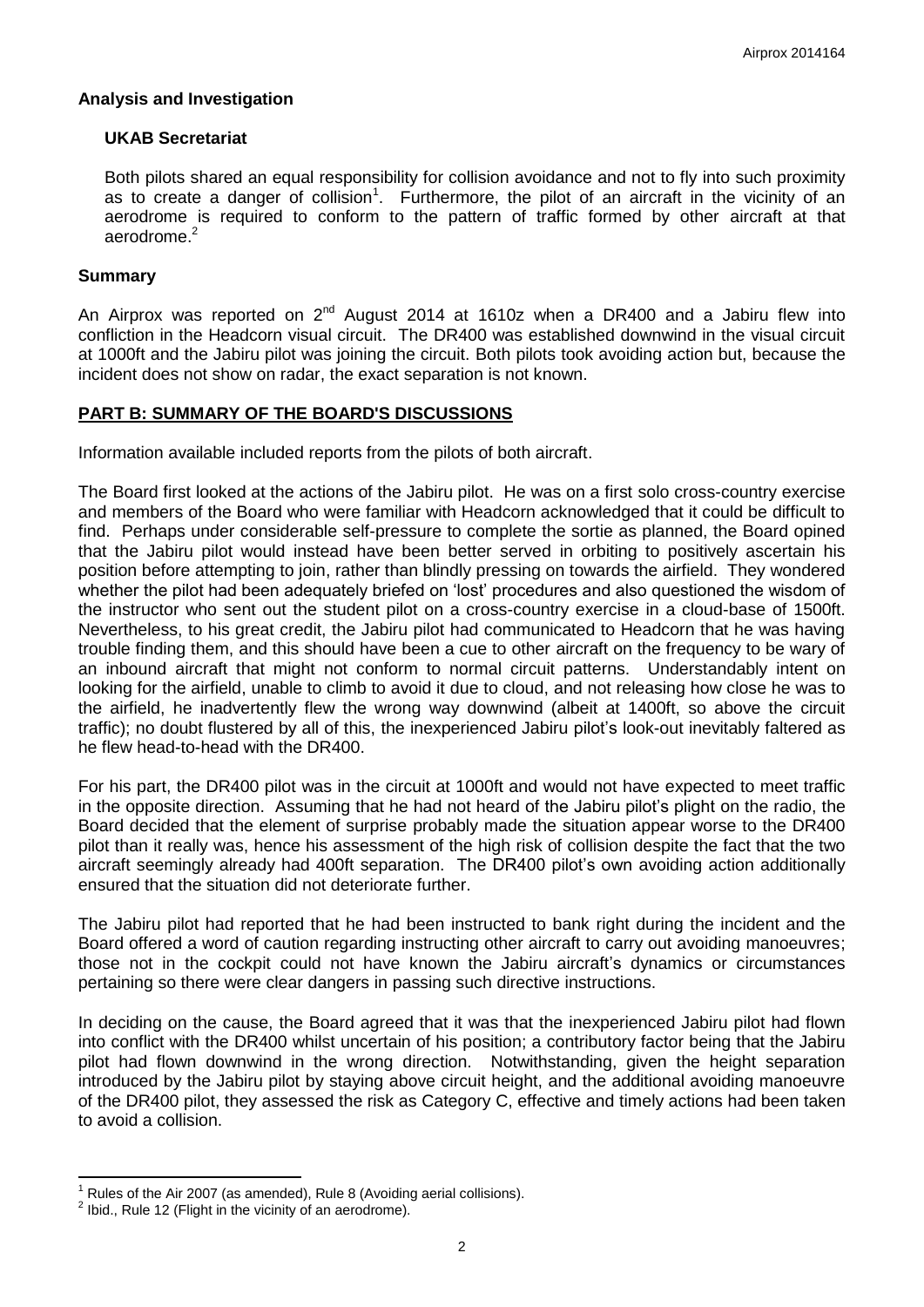#### **Analysis and Investigation**

#### **UKAB Secretariat**

Both pilots shared an equal responsibility for collision avoidance and not to fly into such proximity as to create a danger of collision<sup>1</sup>. Furthermore, the pilot of an aircraft in the vicinity of an aerodrome is required to conform to the pattern of traffic formed by other aircraft at that aerodrome<sup>2</sup>

#### **Summary**

An Airprox was reported on  $2^{nd}$  August 2014 at 1610z when a DR400 and a Jabiru flew into confliction in the Headcorn visual circuit. The DR400 was established downwind in the visual circuit at 1000ft and the Jabiru pilot was joining the circuit. Both pilots took avoiding action but, because the incident does not show on radar, the exact separation is not known.

## **PART B: SUMMARY OF THE BOARD'S DISCUSSIONS**

Information available included reports from the pilots of both aircraft.

The Board first looked at the actions of the Jabiru pilot. He was on a first solo cross-country exercise and members of the Board who were familiar with Headcorn acknowledged that it could be difficult to find. Perhaps under considerable self-pressure to complete the sortie as planned, the Board opined that the Jabiru pilot would instead have been better served in orbiting to positively ascertain his position before attempting to join, rather than blindly pressing on towards the airfield. They wondered whether the pilot had been adequately briefed on 'lost' procedures and also questioned the wisdom of the instructor who sent out the student pilot on a cross-country exercise in a cloud-base of 1500ft. Nevertheless, to his great credit, the Jabiru pilot had communicated to Headcorn that he was having trouble finding them, and this should have been a cue to other aircraft on the frequency to be wary of an inbound aircraft that might not conform to normal circuit patterns. Understandably intent on looking for the airfield, unable to climb to avoid it due to cloud, and not releasing how close he was to the airfield, he inadvertently flew the wrong way downwind (albeit at 1400ft, so above the circuit traffic); no doubt flustered by all of this, the inexperienced Jabiru pilot's look-out inevitably faltered as he flew head-to-head with the DR400.

For his part, the DR400 pilot was in the circuit at 1000ft and would not have expected to meet traffic in the opposite direction. Assuming that he had not heard of the Jabiru pilot's plight on the radio, the Board decided that the element of surprise probably made the situation appear worse to the DR400 pilot than it really was, hence his assessment of the high risk of collision despite the fact that the two aircraft seemingly already had 400ft separation. The DR400 pilot's own avoiding action additionally ensured that the situation did not deteriorate further.

The Jabiru pilot had reported that he had been instructed to bank right during the incident and the Board offered a word of caution regarding instructing other aircraft to carry out avoiding manoeuvres; those not in the cockpit could not have known the Jabiru aircraft's dynamics or circumstances pertaining so there were clear dangers in passing such directive instructions.

In deciding on the cause, the Board agreed that it was that the inexperienced Jabiru pilot had flown into conflict with the DR400 whilst uncertain of his position; a contributory factor being that the Jabiru pilot had flown downwind in the wrong direction. Notwithstanding, given the height separation introduced by the Jabiru pilot by staying above circuit height, and the additional avoiding manoeuvre of the DR400 pilot, they assessed the risk as Category C, effective and timely actions had been taken to avoid a collision.

 $\overline{\phantom{a}}$ 

<sup>1</sup> Rules of the Air 2007 (as amended), Rule 8 (Avoiding aerial collisions).

 $2$  Ibid., Rule 12 (Flight in the vicinity of an aerodrome).